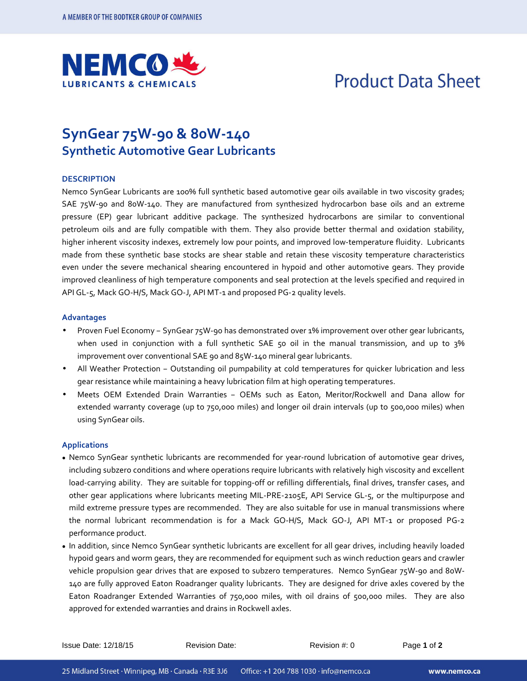

# **Product Data Sheet**

### **SynGear 75W-90 & 80W-140 Synthetic Automotive Gear Lubricants**

#### **DESCRIPTION**

Nemco SynGear Lubricants are 100% full synthetic based automotive gear oils available in two viscosity grades; SAE 75W-90 and 80W-140. They are manufactured from synthesized hydrocarbon base oils and an extreme pressure (EP) gear lubricant additive package. The synthesized hydrocarbons are similar to conventional petroleum oils and are fully compatible with them. They also provide better thermal and oxidation stability, higher inherent viscosity indexes, extremely low pour points, and improved low-temperature fluidity. Lubricants made from these synthetic base stocks are shear stable and retain these viscosity temperature characteristics even under the severe mechanical shearing encountered in hypoid and other automotive gears. They provide improved cleanliness of high temperature components and seal protection at the levels specified and required in API GL-5, Mack GO-H/S, Mack GO-J, API MT-1 and proposed PG-2 quality levels.

#### **Advantages**

- Proven Fuel Economy SynGear 75W-90 has demonstrated over 1% improvement over other gear lubricants, when used in conjunction with a full synthetic SAE 50 oil in the manual transmission, and up to 3% improvement over conventional SAE 90 and 85W-140 mineral gear lubricants.
- All Weather Protection Outstanding oil pumpability at cold temperatures for quicker lubrication and less gear resistance while maintaining a heavy lubrication film at high operating temperatures.
- Meets OEM Extended Drain Warranties OEMs such as Eaton, Meritor/Rockwell and Dana allow for extended warranty coverage (up to 750,000 miles) and longer oil drain intervals (up to 500,000 miles) when using SynGear oils.

#### **Applications**

- Nemco SynGear synthetic lubricants are recommended for year-round lubrication of automotive gear drives, including subzero conditions and where operations require lubricants with relatively high viscosity and excellent load-carrying ability. They are suitable for topping-off or refilling differentials, final drives, transfer cases, and other gear applications where lubricants meeting MIL-PRE-2105E, API Service GL-5, or the multipurpose and mild extreme pressure types are recommended. They are also suitable for use in manual transmissions where the normal lubricant recommendation is for a Mack GO-H/S, Mack GO-J, API MT-1 or proposed PG-2 performance product.
- In addition, since Nemco SynGear synthetic lubricants are excellent for all gear drives, including heavily loaded hypoid gears and worm gears, they are recommended for equipment such as winch reduction gears and crawler vehicle propulsion gear drives that are exposed to subzero temperatures. Nemco SynGear 75W-90 and 80W-140 are fully approved Eaton Roadranger quality lubricants. They are designed for drive axles covered by the Eaton Roadranger Extended Warranties of 750,000 miles, with oil drains of 500,000 miles. They are also approved for extended warranties and drains in Rockwell axles.